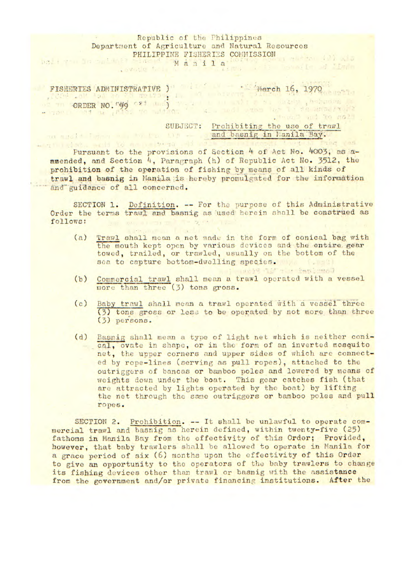## Republic of the Philippines Department of Agriculture and Natural Resources PHILIPPINE FISHERIES COMMISSION

Manila<sup>®</sup>

FISHERTES ADMINISTRATIVE ) and the march 16, 1970 ORDER NO. "99 81 19") Ream of the Samer,

SUBJECT: Prohibiting the use of trawl and basnig in Manila Bay.

Pursuant to the provisions of Section 4 of Act No. 4003, as aamended, and Section 4, Paragraph (h) of Republic Act No. 3512, the prohibition of the operation of fishing by means of all kinds of trawl and basnig in Manila is hereby promulgated for the information and guidance of all concerned.

SECTION 1. Definition. -- For the purpose of this Administrative Order the terms trawl and basnig as used herein shall be construed as follows: follows:

(a) Trawl shall mean a net made in the form of conical bag with the mouth kept open by various *devices ant* the entire gear towed, trailed, or trawled, usually on the bottom of the sea to capture bottom-dwelling species.

- (b) Commercial trawl shall mean a trawl operated with a vessel more than three (3) tons gross.
- (c) Baby trawl shall mean a trawl operated iith a vessel three (3) tons gross or lcs; to be operated by not more than three (3) persons.
- (d) Basnig shall mean a type of light net which is neither conical, ovate in shape, or in the form of an inverted mosquito net, the upper corners and upper sides of which are connected by rope-lines (serving as pull ropes), attached to the outriggers of hancas or bamboo poles and lowered by means of weights down under the boat. This gear catches fish (that are attracted by lights operated by the boat) by lifting the net through the sane outriggers or bamboo poles and pull ropes.

SECTION 2. Prohibition. -- It shall be unlawful to operate commercial trawl and basnig as herein defined, within twenty-five (25) fathoms in Manila Bay from the effectivity of this Order; Provided, however, that baby trawlers shall be allowed to operate in Manila for a grace period of six (6) months upon the effectivity of this Order to give an opportunity to the operators of the baby trawlers to change its fishing devices other than trawl or basnig with the assistance from the government and/or private financing institutions. After the